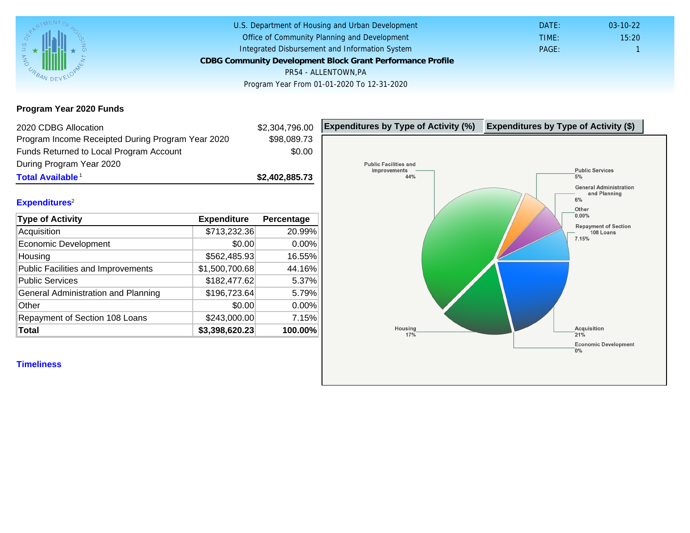Program Year 2020 Funds

| 2020 CDBG Allocation                              |                | \$2,304,796.00 | Expenditures by Type of Activity (%) | Expenditure |
|---------------------------------------------------|----------------|----------------|--------------------------------------|-------------|
| Program Income Receipted During Program Year 2020 |                | \$98,089.73    |                                      |             |
| Funds Returned to Local Program Account           |                | \$0.00         |                                      |             |
| During Program Year 2020                          |                |                |                                      |             |
| Total Available <sup>1</sup>                      |                | \$2,402,885.73 |                                      |             |
|                                                   |                |                |                                      |             |
| Expenditures <sup>2</sup>                         |                |                |                                      |             |
| Type of Activity                                  | Expenditure    | Percentage     |                                      |             |
| Acquisition                                       | \$713,232.36   | 20.99%         |                                      |             |
| <b>Economic Development</b>                       | \$0.00         | 0.00%          |                                      |             |
| Housing                                           | \$562,485.93   | 16.55%         |                                      |             |
| <b>Public Facilities and Improvements</b>         | \$1,500,700.68 | 44.16%         |                                      |             |
| <b>Public Services</b>                            | \$182,477.62   | 5.37%          |                                      |             |
| General Administration and Planning               | \$196,723.64   | 5.79%          |                                      |             |
| Other                                             | \$0.00         | 0.00%          |                                      |             |
| Repayment of Section 108 Loans                    | \$243,000.00   | 7.15%          |                                      |             |
| Total                                             | \$3,398,620.23 | 100.00%        |                                      |             |
|                                                   |                |                |                                      |             |
| <b>Timeliness</b>                                 |                |                |                                      |             |
|                                                   |                |                |                                      |             |
|                                                   |                |                |                                      |             |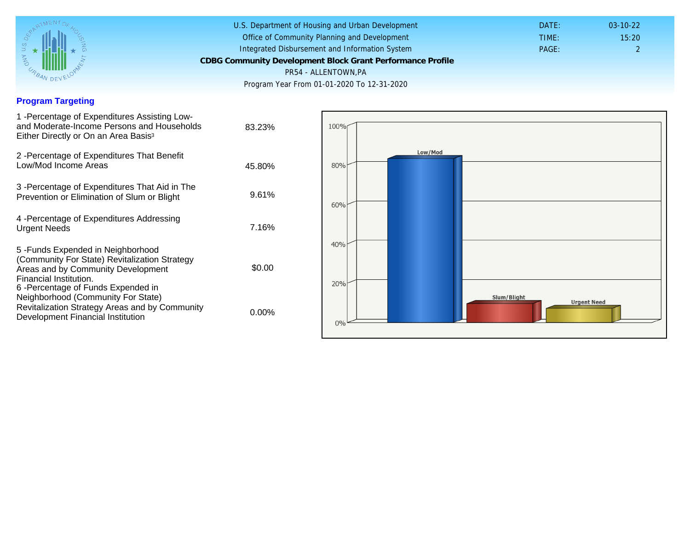## Program Targeting

| 1 - Percentage of Expenditures Assisting Low-<br>and Moderate-Income Persons and Households<br>Either Directly or On an Area Basis <sup>3</sup>                                                                              | 83.23%   |
|------------------------------------------------------------------------------------------------------------------------------------------------------------------------------------------------------------------------------|----------|
| 2 - Percentage of Expenditures That Benefit<br>Low/Mod Income Areas                                                                                                                                                          | 45.80%   |
| 3 -Percentage of Expenditures That Aid in The<br>Prevention or Elimination of Slum or Blight                                                                                                                                 | 9.61%    |
| 4 - Percentage of Expenditures Addressing<br><b>Urgent Needs</b>                                                                                                                                                             | 7.16%    |
| 5-Funds Expended in Neighborhood<br>(Community For State) Revitalization Strategy<br>Areas and by Community Development<br>Financial Institution.<br>6-Percentage of Funds Expended in<br>Neighborhood (Community For State) | \$0.00   |
| Revitalization Strategy Areas and by Community<br>Development Financial Institution                                                                                                                                          | $0.00\%$ |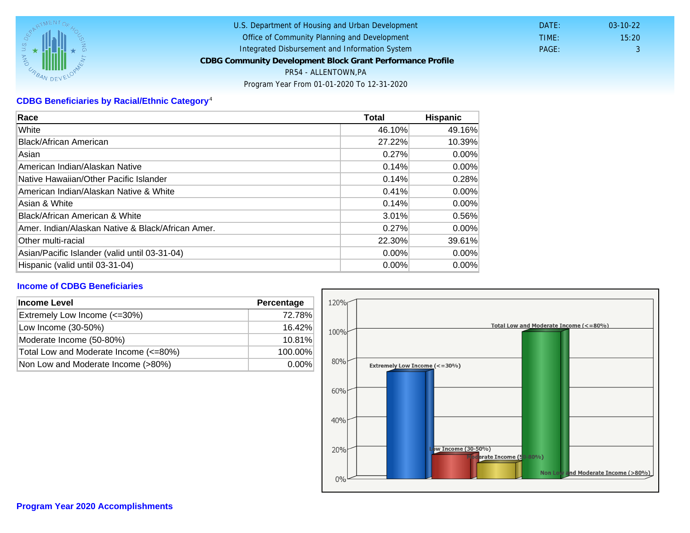# CDBG Beneficiaries by Racial/Ethnic Category <sup>4</sup>

| Race                                              | Total    | Hispanic |
|---------------------------------------------------|----------|----------|
| White                                             | 46.10%   | 49.16%   |
| Black/African American                            | 27.22%   | 10.39%   |
| Asian                                             | 0.27%    | $0.00\%$ |
| IAmerican Indian/Alaskan Native                   | 0.14%    | $0.00\%$ |
| lNative Hawaiian/Other Pacific Islander           | 0.14%    | 0.28%    |
| American Indian/Alaskan Native & White            | 0.41%    | $0.00\%$ |
| Asian & White                                     | 0.14%    | $0.00\%$ |
| Black/African American & White                    | 3.01%    | 0.56%    |
| Amer. Indian/Alaskan Native & Black/African Amer. | 0.27%    | $0.00\%$ |
| Other multi-racial                                | 22.30%   | 39.61%   |
| Asian/Pacific Islander (valid until 03-31-04)     | 0.00%    | 0.00%    |
| Hispanic (valid until 03-31-04)                   | $0.00\%$ | $0.00\%$ |

### Income of CDBG Beneficiaries

| Income Level                          | Percentage |
|---------------------------------------|------------|
| Extremely Low Income (<=30%)          | 72.78%     |
| Low Income (30-50%)                   | 16.42%     |
| Moderate Income (50-80%)              | 10.81%     |
| Total Low and Moderate Income (<=80%) | 100.00%    |
| Non Low and Moderate Income (>80%)    | $0.00\%$   |